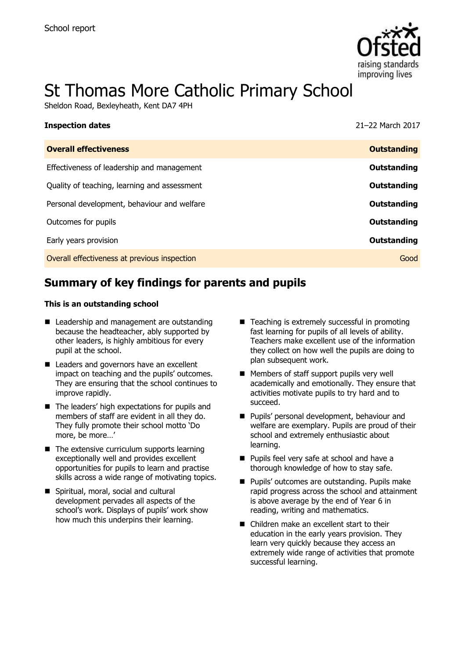

# St Thomas More Catholic Primary School

Sheldon Road, Bexleyheath, Kent DA7 4PH

| 21-22 March 2017   |
|--------------------|
| <b>Outstanding</b> |
| <b>Outstanding</b> |
| <b>Outstanding</b> |
| Outstanding        |
| <b>Outstanding</b> |
| <b>Outstanding</b> |
| Good               |
|                    |

# **Summary of key findings for parents and pupils**

#### **This is an outstanding school**

- Leadership and management are outstanding because the headteacher, ably supported by other leaders, is highly ambitious for every pupil at the school.
- Leaders and governors have an excellent impact on teaching and the pupils' outcomes. They are ensuring that the school continues to improve rapidly.
- $\blacksquare$  The leaders' high expectations for pupils and members of staff are evident in all they do. They fully promote their school motto 'Do more, be more…'
- $\blacksquare$  The extensive curriculum supports learning exceptionally well and provides excellent opportunities for pupils to learn and practise skills across a wide range of motivating topics.
- Spiritual, moral, social and cultural development pervades all aspects of the school's work. Displays of pupils' work show how much this underpins their learning.
- $\blacksquare$  Teaching is extremely successful in promoting fast learning for pupils of all levels of ability. Teachers make excellent use of the information they collect on how well the pupils are doing to plan subsequent work.
- **Members of staff support pupils very well** academically and emotionally. They ensure that activities motivate pupils to try hard and to succeed.
- **Pupils' personal development, behaviour and** welfare are exemplary. Pupils are proud of their school and extremely enthusiastic about learning.
- **Pupils feel very safe at school and have a** thorough knowledge of how to stay safe.
- **Pupils' outcomes are outstanding. Pupils make** rapid progress across the school and attainment is above average by the end of Year 6 in reading, writing and mathematics.
- Children make an excellent start to their education in the early years provision. They learn very quickly because they access an extremely wide range of activities that promote successful learning.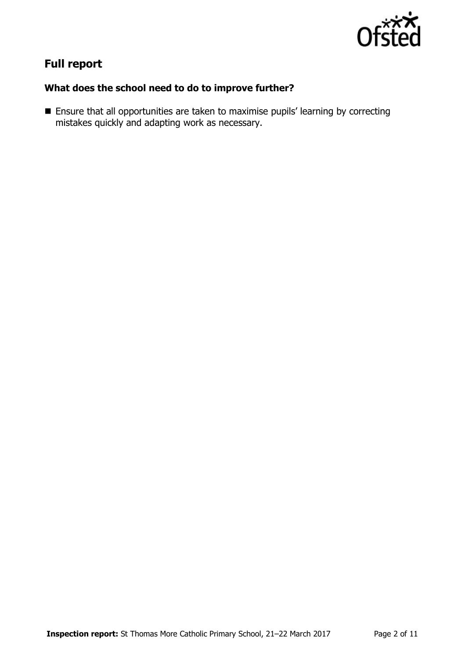

# **Full report**

### **What does the school need to do to improve further?**

 Ensure that all opportunities are taken to maximise pupils' learning by correcting mistakes quickly and adapting work as necessary.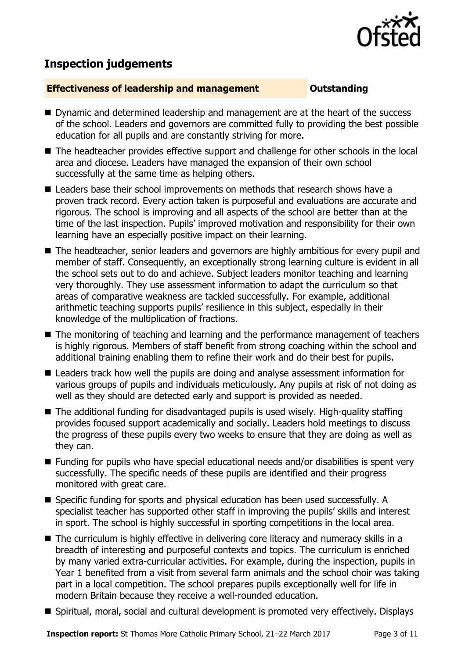

# **Inspection judgements**

### **Effectiveness of leadership and management COULDER COULDER COULDER**

- Dynamic and determined leadership and management are at the heart of the success of the school. Leaders and governors are committed fully to providing the best possible education for all pupils and are constantly striving for more.
- The headteacher provides effective support and challenge for other schools in the local area and diocese. Leaders have managed the expansion of their own school successfully at the same time as helping others.
- Leaders base their school improvements on methods that research shows have a proven track record. Every action taken is purposeful and evaluations are accurate and rigorous. The school is improving and all aspects of the school are better than at the time of the last inspection. Pupils' improved motivation and responsibility for their own learning have an especially positive impact on their learning.
- The headteacher, senior leaders and governors are highly ambitious for every pupil and member of staff. Consequently, an exceptionally strong learning culture is evident in all the school sets out to do and achieve. Subject leaders monitor teaching and learning very thoroughly. They use assessment information to adapt the curriculum so that areas of comparative weakness are tackled successfully. For example, additional arithmetic teaching supports pupils' resilience in this subject, especially in their knowledge of the multiplication of fractions.
- The monitoring of teaching and learning and the performance management of teachers is highly rigorous. Members of staff benefit from strong coaching within the school and additional training enabling them to refine their work and do their best for pupils.
- Leaders track how well the pupils are doing and analyse assessment information for various groups of pupils and individuals meticulously. Any pupils at risk of not doing as well as they should are detected early and support is provided as needed.
- The additional funding for disadvantaged pupils is used wisely. High-quality staffing provides focused support academically and socially. Leaders hold meetings to discuss the progress of these pupils every two weeks to ensure that they are doing as well as they can.
- Funding for pupils who have special educational needs and/or disabilities is spent very successfully. The specific needs of these pupils are identified and their progress monitored with great care.
- Specific funding for sports and physical education has been used successfully. A specialist teacher has supported other staff in improving the pupils' skills and interest in sport. The school is highly successful in sporting competitions in the local area.
- The curriculum is highly effective in delivering core literacy and numeracy skills in a breadth of interesting and purposeful contexts and topics. The curriculum is enriched by many varied extra-curricular activities. For example, during the inspection, pupils in Year 1 benefited from a visit from several farm animals and the school choir was taking part in a local competition. The school prepares pupils exceptionally well for life in modern Britain because they receive a well-rounded education.
- Spiritual, moral, social and cultural development is promoted very effectively. Displays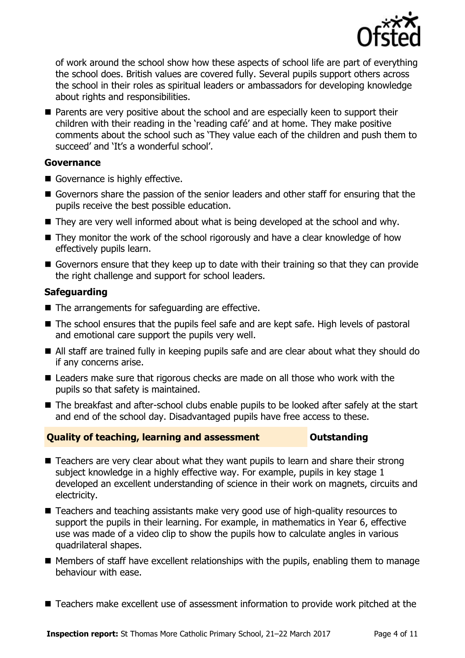

of work around the school show how these aspects of school life are part of everything the school does. British values are covered fully. Several pupils support others across the school in their roles as spiritual leaders or ambassadors for developing knowledge about rights and responsibilities.

■ Parents are very positive about the school and are especially keen to support their children with their reading in the 'reading café' and at home. They make positive comments about the school such as 'They value each of the children and push them to succeed' and 'It's a wonderful school'.

### **Governance**

- Governance is highly effective.
- Governors share the passion of the senior leaders and other staff for ensuring that the pupils receive the best possible education.
- They are very well informed about what is being developed at the school and why.
- They monitor the work of the school rigorously and have a clear knowledge of how effectively pupils learn.
- Governors ensure that they keep up to date with their training so that they can provide the right challenge and support for school leaders.

### **Safeguarding**

- $\blacksquare$  The arrangements for safeguarding are effective.
- The school ensures that the pupils feel safe and are kept safe. High levels of pastoral and emotional care support the pupils very well.
- All staff are trained fully in keeping pupils safe and are clear about what they should do if any concerns arise.
- Leaders make sure that rigorous checks are made on all those who work with the pupils so that safety is maintained.
- The breakfast and after-school clubs enable pupils to be looked after safely at the start and end of the school day. Disadvantaged pupils have free access to these.

#### **Quality of teaching, learning and assessment Outstanding**

- Teachers are very clear about what they want pupils to learn and share their strong subject knowledge in a highly effective way. For example, pupils in key stage 1 developed an excellent understanding of science in their work on magnets, circuits and electricity.
- Teachers and teaching assistants make very good use of high-quality resources to support the pupils in their learning. For example, in mathematics in Year 6, effective use was made of a video clip to show the pupils how to calculate angles in various quadrilateral shapes.
- $\blacksquare$  Members of staff have excellent relationships with the pupils, enabling them to manage behaviour with ease.
- Teachers make excellent use of assessment information to provide work pitched at the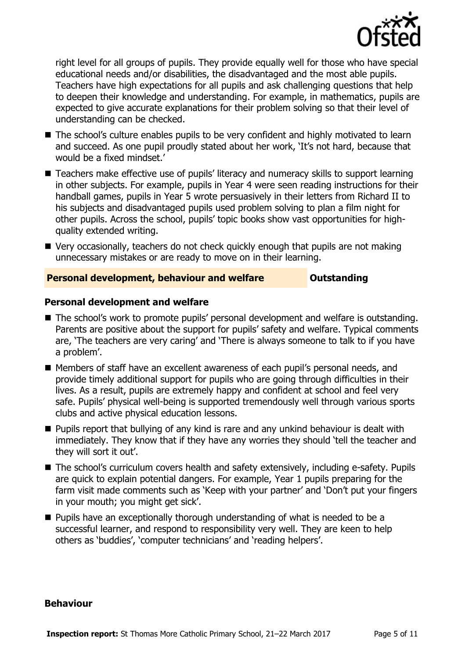

right level for all groups of pupils. They provide equally well for those who have special educational needs and/or disabilities, the disadvantaged and the most able pupils. Teachers have high expectations for all pupils and ask challenging questions that help to deepen their knowledge and understanding. For example, in mathematics, pupils are expected to give accurate explanations for their problem solving so that their level of understanding can be checked.

- The school's culture enables pupils to be very confident and highly motivated to learn and succeed. As one pupil proudly stated about her work, 'It's not hard, because that would be a fixed mindset.'
- Teachers make effective use of pupils' literacy and numeracy skills to support learning in other subjects. For example, pupils in Year 4 were seen reading instructions for their handball games, pupils in Year 5 wrote persuasively in their letters from Richard II to his subjects and disadvantaged pupils used problem solving to plan a film night for other pupils. Across the school, pupils' topic books show vast opportunities for highquality extended writing.
- Very occasionally, teachers do not check quickly enough that pupils are not making unnecessary mistakes or are ready to move on in their learning.

### **Personal development, behaviour and welfare <b>COU** Outstanding

#### **Personal development and welfare**

- The school's work to promote pupils' personal development and welfare is outstanding. Parents are positive about the support for pupils' safety and welfare. Typical comments are, 'The teachers are very caring' and 'There is always someone to talk to if you have a problem'.
- Members of staff have an excellent awareness of each pupil's personal needs, and provide timely additional support for pupils who are going through difficulties in their lives. As a result, pupils are extremely happy and confident at school and feel very safe. Pupils' physical well-being is supported tremendously well through various sports clubs and active physical education lessons.
- **Pupils report that bullying of any kind is rare and any unkind behaviour is dealt with** immediately. They know that if they have any worries they should 'tell the teacher and they will sort it out'.
- The school's curriculum covers health and safety extensively, including e-safety. Pupils are quick to explain potential dangers. For example, Year 1 pupils preparing for the farm visit made comments such as 'Keep with your partner' and 'Don't put your fingers in your mouth; you might get sick'.
- **Pupils have an exceptionally thorough understanding of what is needed to be a** successful learner, and respond to responsibility very well. They are keen to help others as 'buddies', 'computer technicians' and 'reading helpers'.

#### **Behaviour**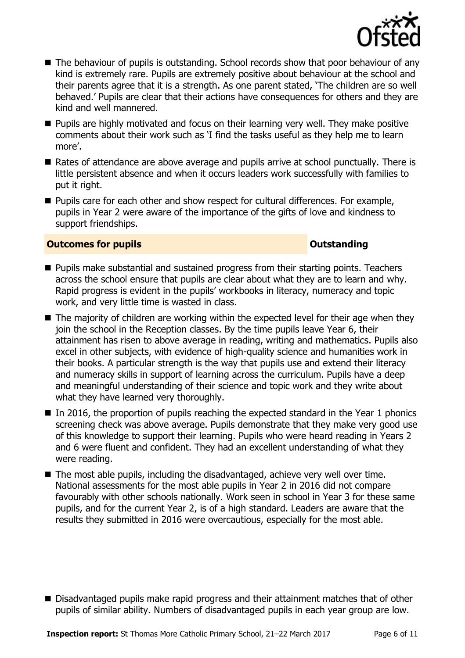

- The behaviour of pupils is outstanding. School records show that poor behaviour of any kind is extremely rare. Pupils are extremely positive about behaviour at the school and their parents agree that it is a strength. As one parent stated, 'The children are so well behaved.' Pupils are clear that their actions have consequences for others and they are kind and well mannered.
- **Pupils are highly motivated and focus on their learning very well. They make positive** comments about their work such as 'I find the tasks useful as they help me to learn more'.
- Rates of attendance are above average and pupils arrive at school punctually. There is little persistent absence and when it occurs leaders work successfully with families to put it right.
- $\blacksquare$  Pupils care for each other and show respect for cultural differences. For example, pupils in Year 2 were aware of the importance of the gifts of love and kindness to support friendships.

#### **Outcomes for pupils Outstanding**

- **Pupils make substantial and sustained progress from their starting points. Teachers** across the school ensure that pupils are clear about what they are to learn and why. Rapid progress is evident in the pupils' workbooks in literacy, numeracy and topic work, and very little time is wasted in class.
- The majority of children are working within the expected level for their age when they join the school in the Reception classes. By the time pupils leave Year 6, their attainment has risen to above average in reading, writing and mathematics. Pupils also excel in other subjects, with evidence of high-quality science and humanities work in their books. A particular strength is the way that pupils use and extend their literacy and numeracy skills in support of learning across the curriculum. Pupils have a deep and meaningful understanding of their science and topic work and they write about what they have learned very thoroughly.
- $\blacksquare$  In 2016, the proportion of pupils reaching the expected standard in the Year 1 phonics screening check was above average. Pupils demonstrate that they make very good use of this knowledge to support their learning. Pupils who were heard reading in Years 2 and 6 were fluent and confident. They had an excellent understanding of what they were reading.
- $\blacksquare$  The most able pupils, including the disadvantaged, achieve very well over time. National assessments for the most able pupils in Year 2 in 2016 did not compare favourably with other schools nationally. Work seen in school in Year 3 for these same pupils, and for the current Year 2, is of a high standard. Leaders are aware that the results they submitted in 2016 were overcautious, especially for the most able.

Disadvantaged pupils make rapid progress and their attainment matches that of other pupils of similar ability. Numbers of disadvantaged pupils in each year group are low.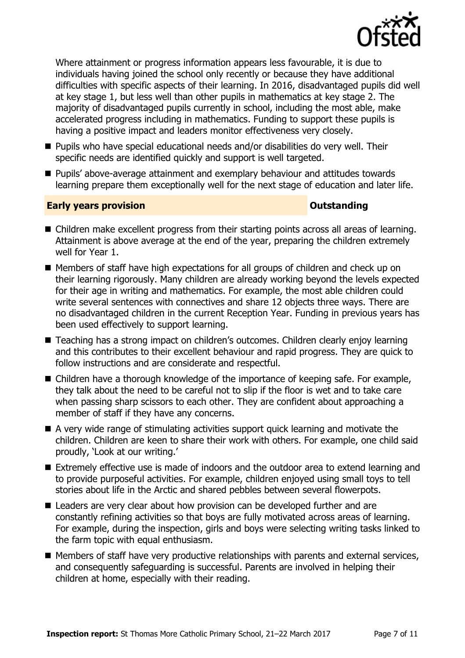

Where attainment or progress information appears less favourable, it is due to individuals having joined the school only recently or because they have additional difficulties with specific aspects of their learning. In 2016, disadvantaged pupils did well at key stage 1, but less well than other pupils in mathematics at key stage 2. The majority of disadvantaged pupils currently in school, including the most able, make accelerated progress including in mathematics. Funding to support these pupils is having a positive impact and leaders monitor effectiveness very closely.

- Pupils who have special educational needs and/or disabilities do very well. Their specific needs are identified quickly and support is well targeted.
- Pupils' above-average attainment and exemplary behaviour and attitudes towards learning prepare them exceptionally well for the next stage of education and later life.

#### **Early years provision CONSTANDING TO A RESEARCH CONSTANDING TO A RESEARCH CONSTANDING TO A RESEARCH CONSTANDING TO A RESEARCH CONSTANDING TO A RESEARCH CONSTANDING TO A RESEARCH CONSTANDING TO A RESEARCH CONSTANDING TO**

- Children make excellent progress from their starting points across all areas of learning. Attainment is above average at the end of the year, preparing the children extremely well for Year 1.
- Members of staff have high expectations for all groups of children and check up on their learning rigorously. Many children are already working beyond the levels expected for their age in writing and mathematics. For example, the most able children could write several sentences with connectives and share 12 objects three ways. There are no disadvantaged children in the current Reception Year. Funding in previous years has been used effectively to support learning.
- Teaching has a strong impact on children's outcomes. Children clearly enjoy learning and this contributes to their excellent behaviour and rapid progress. They are quick to follow instructions and are considerate and respectful.
- Children have a thorough knowledge of the importance of keeping safe. For example, they talk about the need to be careful not to slip if the floor is wet and to take care when passing sharp scissors to each other. They are confident about approaching a member of staff if they have any concerns.
- A very wide range of stimulating activities support quick learning and motivate the children. Children are keen to share their work with others. For example, one child said proudly, 'Look at our writing.'
- Extremely effective use is made of indoors and the outdoor area to extend learning and to provide purposeful activities. For example, children enjoyed using small toys to tell stories about life in the Arctic and shared pebbles between several flowerpots.
- Leaders are very clear about how provision can be developed further and are constantly refining activities so that boys are fully motivated across areas of learning. For example, during the inspection, girls and boys were selecting writing tasks linked to the farm topic with equal enthusiasm.
- **Members of staff have very productive relationships with parents and external services,** and consequently safeguarding is successful. Parents are involved in helping their children at home, especially with their reading.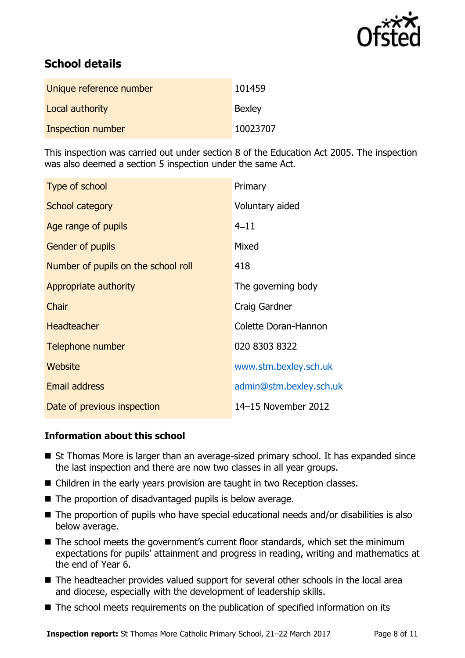

# **School details**

| Unique reference number | 101459        |
|-------------------------|---------------|
| Local authority         | <b>Bexley</b> |
| Inspection number       | 10023707      |

This inspection was carried out under section 8 of the Education Act 2005. The inspection was also deemed a section 5 inspection under the same Act.

| Type of school                      | Primary                 |
|-------------------------------------|-------------------------|
| School category                     | Voluntary aided         |
| Age range of pupils                 | $4 - 11$                |
| <b>Gender of pupils</b>             | Mixed                   |
| Number of pupils on the school roll | 418                     |
| Appropriate authority               | The governing body      |
| Chair                               | Craig Gardner           |
| <b>Headteacher</b>                  | Colette Doran-Hannon    |
| Telephone number                    | 020 8303 8322           |
| Website                             | www.stm.bexley.sch.uk   |
| <b>Email address</b>                | admin@stm.bexley.sch.uk |
| Date of previous inspection         | 14-15 November 2012     |

### **Information about this school**

- St Thomas More is larger than an average-sized primary school. It has expanded since the last inspection and there are now two classes in all year groups.
- Children in the early years provision are taught in two Reception classes.
- The proportion of disadvantaged pupils is below average.
- The proportion of pupils who have special educational needs and/or disabilities is also below average.
- The school meets the government's current floor standards, which set the minimum expectations for pupils' attainment and progress in reading, writing and mathematics at the end of Year 6.
- The headteacher provides valued support for several other schools in the local area and diocese, especially with the development of leadership skills.
- The school meets requirements on the publication of specified information on its

**Inspection report:** St Thomas More Catholic Primary School, 21–22 March 2017 Page 8 of 11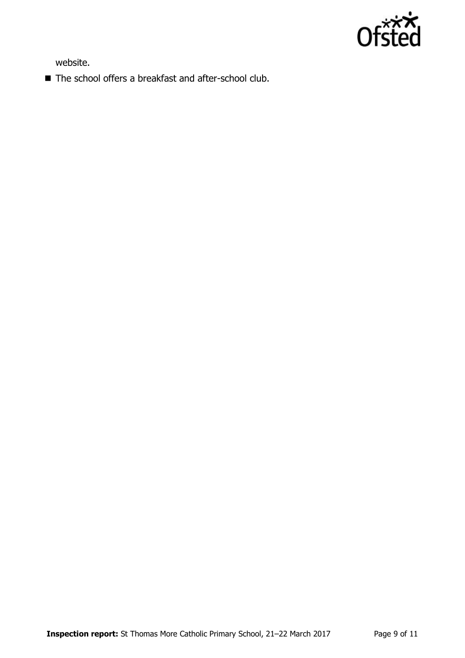

website.

■ The school offers a breakfast and after-school club.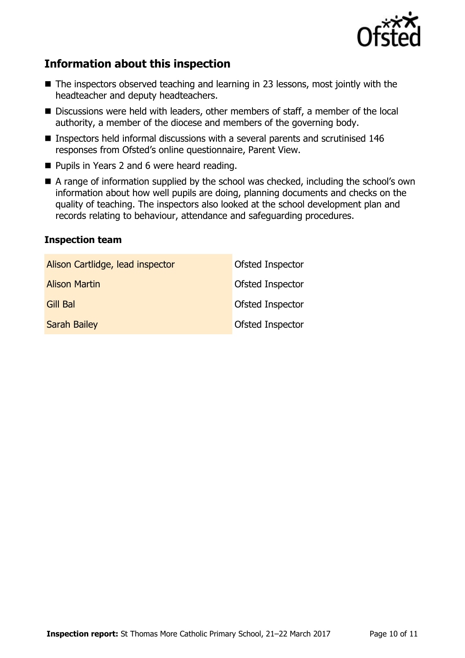

# **Information about this inspection**

- The inspectors observed teaching and learning in 23 lessons, most jointly with the headteacher and deputy headteachers.
- Discussions were held with leaders, other members of staff, a member of the local authority, a member of the diocese and members of the governing body.
- Inspectors held informal discussions with a several parents and scrutinised 146 responses from Ofsted's online questionnaire, Parent View.
- **Pupils in Years 2 and 6 were heard reading.**
- A range of information supplied by the school was checked, including the school's own information about how well pupils are doing, planning documents and checks on the quality of teaching. The inspectors also looked at the school development plan and records relating to behaviour, attendance and safeguarding procedures.

### **Inspection team**

| Alison Cartlidge, lead inspector | Ofsted Inspector |
|----------------------------------|------------------|
| <b>Alison Martin</b>             | Ofsted Inspector |
| Gill Bal                         | Ofsted Inspector |
| <b>Sarah Bailey</b>              | Ofsted Inspector |